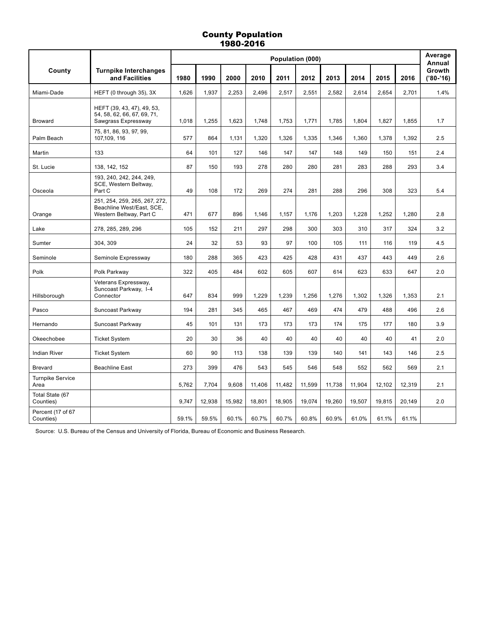# County Population 1980-2016

|                                 |                                                                                       | Population (000) |        |        |        |        |        |        |        | Average<br>Annual |        |                       |
|---------------------------------|---------------------------------------------------------------------------------------|------------------|--------|--------|--------|--------|--------|--------|--------|-------------------|--------|-----------------------|
| County                          | <b>Turnpike Interchanges</b><br>and Facilities                                        | 1980             | 1990   | 2000   | 2010   | 2011   | 2012   | 2013   | 2014   | 2015              | 2016   | Growth<br>$('80-'16)$ |
| Miami-Dade                      | HEFT (0 through 35), 3X                                                               | 1,626            | 1,937  | 2,253  | 2,496  | 2,517  | 2,551  | 2,582  | 2,614  | 2,654             | 2,701  | 1.4%                  |
| <b>Broward</b>                  | HEFT (39, 43, 47), 49, 53,<br>54, 58, 62, 66, 67, 69, 71,<br>Sawgrass Expressway      | 1,018            | 1,255  | 1,623  | 1,748  | 1,753  | 1,771  | 1,785  | 1,804  | 1,827             | 1,855  | 1.7                   |
| Palm Beach                      | 75, 81, 86, 93, 97, 99,<br>107,109, 116                                               | 577              | 864    | 1.131  | 1.320  | 1.326  | 1.335  | 1.346  | 1.360  | 1.378             | 1.392  | 2.5                   |
| Martin                          | 133                                                                                   | 64               | 101    | 127    | 146    | 147    | 147    | 148    | 149    | 150               | 151    | 2.4                   |
| St. Lucie                       | 138, 142, 152                                                                         | 87               | 150    | 193    | 278    | 280    | 280    | 281    | 283    | 288               | 293    | 3.4                   |
| Osceola                         | 193, 240, 242, 244, 249,<br>SCE, Western Beltway,<br>Part C                           | 49               | 108    | 172    | 269    | 274    | 281    | 288    | 296    | 308               | 323    | 5.4                   |
| Orange                          | 251, 254, 259, 265, 267, 272,<br>Beachline West/East, SCE,<br>Western Beltway, Part C | 471              | 677    | 896    | 1,146  | 1,157  | 1,176  | 1,203  | 1,228  | 1,252             | 1,280  | 2.8                   |
| Lake                            | 278, 285, 289, 296                                                                    | 105              | 152    | 211    | 297    | 298    | 300    | 303    | 310    | 317               | 324    | 3.2                   |
| Sumter                          | 304, 309                                                                              | 24               | 32     | 53     | 93     | 97     | 100    | 105    | 111    | 116               | 119    | 4.5                   |
| Seminole                        | Seminole Expressway                                                                   | 180              | 288    | 365    | 423    | 425    | 428    | 431    | 437    | 443               | 449    | 2.6                   |
| Polk                            | Polk Parkway                                                                          | 322              | 405    | 484    | 602    | 605    | 607    | 614    | 623    | 633               | 647    | 2.0                   |
| Hillsborough                    | Veterans Expressway,<br>Suncoast Parkway, I-4<br>Connector                            | 647              | 834    | 999    | 1,229  | 1,239  | 1,256  | 1,276  | 1,302  | 1,326             | 1,353  | 2.1                   |
| Pasco                           | Suncoast Parkway                                                                      | 194              | 281    | 345    | 465    | 467    | 469    | 474    | 479    | 488               | 496    | 2.6                   |
| Hernando                        | Suncoast Parkway                                                                      | 45               | 101    | 131    | 173    | 173    | 173    | 174    | 175    | 177               | 180    | 3.9                   |
| Okeechobee                      | <b>Ticket System</b>                                                                  | 20               | 30     | 36     | 40     | 40     | 40     | 40     | 40     | 40                | 41     | 2.0                   |
| <b>Indian River</b>             | <b>Ticket System</b>                                                                  | 60               | 90     | 113    | 138    | 139    | 139    | 140    | 141    | 143               | 146    | 2.5                   |
| <b>Brevard</b>                  | <b>Beachline East</b>                                                                 | 273              | 399    | 476    | 543    | 545    | 546    | 548    | 552    | 562               | 569    | 2.1                   |
| <b>Turnpike Service</b><br>Area |                                                                                       | 5,762            | 7.704  | 9,608  | 11,406 | 11,482 | 11,599 | 11,738 | 11,904 | 12,102            | 12,319 | 2.1                   |
| Total State (67<br>Counties)    |                                                                                       | 9,747            | 12,938 | 15,982 | 18,801 | 18,905 | 19,074 | 19,260 | 19,507 | 19,815            | 20,149 | 2.0                   |
| Percent (17 of 67<br>Counties)  |                                                                                       | 59.1%            | 59.5%  | 60.1%  | 60.7%  | 60.7%  | 60.8%  | 60.9%  | 61.0%  | 61.1%             | 61.1%  |                       |

Source: U.S. Bureau of the Census and University of Florida, Bureau of Economic and Business Research.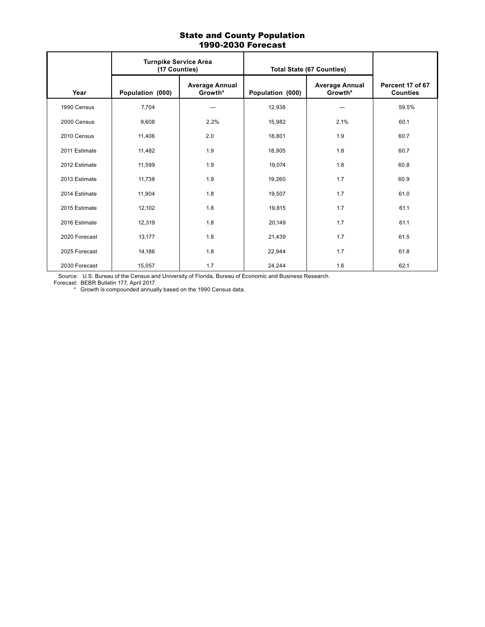### State and County Population 1990-2030 Forecast

|               | <b>Turnpike Service Area</b><br>(17 Counties) |                                  | <b>Total State (67 Counties)</b> |                                  |                                     |  |
|---------------|-----------------------------------------------|----------------------------------|----------------------------------|----------------------------------|-------------------------------------|--|
| Year          | Population (000)                              | <b>Average Annual</b><br>Growth* | Population (000)                 | <b>Average Annual</b><br>Growth* | Percent 17 of 67<br><b>Counties</b> |  |
| 1990 Census   | 7,704                                         |                                  | 12,938                           |                                  | 59.5%                               |  |
| 2000 Census   | 9,608                                         | 2.2%                             | 15,982                           | 2.1%                             | 60.1                                |  |
| 2010 Census   | 11,406                                        | 2.0                              | 18,801                           | 1.9                              | 60.7                                |  |
| 2011 Estimate | 11,482                                        | 1.9                              | 18,905                           | 1.8                              | 60.7                                |  |
| 2012 Estimate | 11,599                                        | 1.9                              | 19,074                           | 1.8                              | 60.8                                |  |
| 2013 Estimate | 11,738                                        | 1.9                              | 19,260                           | 1.7                              | 60.9                                |  |
| 2014 Estimate | 11,904                                        | 1.8                              | 19,507                           | 1.7                              | 61.0                                |  |
| 2015 Estimate | 12,102                                        | 1.8                              | 19,815                           | 1.7                              | 61.1                                |  |
| 2016 Estimate | 12,319                                        | 1.8                              | 20,149                           | 1.7                              | 61.1                                |  |
| 2020 Forecast | 13,177                                        | 1.8                              | 21,439                           | 1.7                              | 61.5                                |  |
| 2025 Forecast | 14,186                                        | 1.8                              | 22,944                           | 1.7                              | 61.8                                |  |
| 2030 Forecast | 15,057                                        | 1.7                              | 24,244                           | 1.6                              | 62.1                                |  |

Source: U.S. Bureau of the Census and University of Florida, Bureau of Economic and Business Research.

Forecast: BEBR Bulletin 177, April 2017.

\* Growth is compounded annually based on the 1990 Census data.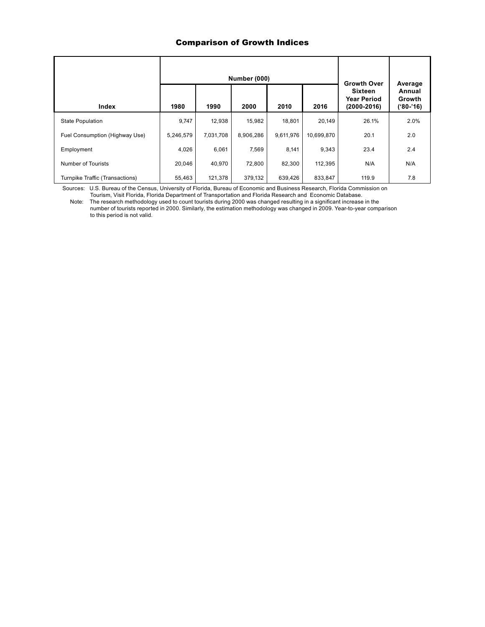### Comparison of Growth Indices

|                                 |           | <b>Number (000)</b> | <b>Growth Over</b> | Average   |            |                                                         |                               |
|---------------------------------|-----------|---------------------|--------------------|-----------|------------|---------------------------------------------------------|-------------------------------|
| Index                           | 1980      | 1990                | 2000               | 2010      | 2016       | <b>Sixteen</b><br><b>Year Period</b><br>$(2000 - 2016)$ | Annual<br>Growth<br>('80-'16) |
| <b>State Population</b>         | 9,747     | 12,938              | 15,982             | 18.801    | 20,149     | 26.1%                                                   | 2.0%                          |
| Fuel Consumption (Highway Use)  | 5,246,579 | 7,031,708           | 8,906,286          | 9,611,976 | 10,699,870 | 20.1                                                    | 2.0                           |
| Employment                      | 4,026     | 6,061               | 7,569              | 8,141     | 9,343      | 23.4                                                    | 2.4                           |
| Number of Tourists              | 20,046    | 40,970              | 72,800             | 82.300    | 112,395    | N/A                                                     | N/A                           |
| Turnpike Traffic (Transactions) | 55,463    | 121,378             | 379,132            | 639,426   | 833,847    | 119.9                                                   | 7.8                           |

 Sources: U.S. Bureau of the Census, University of Florida, Bureau of Economic and Business Research, Florida Commission on Tourism, Visit Florida, Florida Department of Transportation and Florida Research and Economic Database.

 Note: The research methodology used to count tourists during 2000 was changed resulting in a significant increase in the number of tourists reported in 2000. Similarly, the estimation methodology was changed in 2009. Year-to-year comparison

to this period is not valid.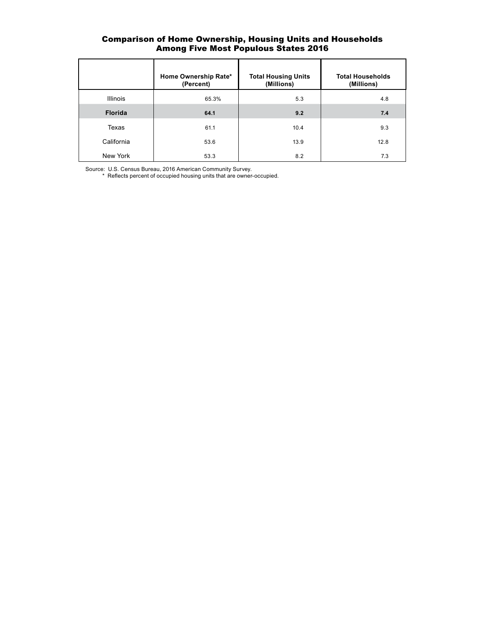## Comparison of Home Ownership, Housing Units and Households Among Five Most Populous States 2016

|                 | Home Ownership Rate*<br>(Percent) | <b>Total Housing Units</b><br>(Millions) | <b>Total Households</b><br>(Millions) |
|-----------------|-----------------------------------|------------------------------------------|---------------------------------------|
| <b>Illinois</b> | 65.3%                             | 5.3                                      | 4.8                                   |
| <b>Florida</b>  | 64.1                              | 9.2                                      | 7.4                                   |
| Texas           | 61.1                              | 10.4                                     | 9.3                                   |
| California      | 53.6                              | 13.9                                     | 12.8                                  |
| New York        | 53.3                              | 8.2                                      | 7.3                                   |

Source: U.S. Census Bureau, 2016 American Community Survey.

\* Reflects percent of occupied housing units that are owner-occupied.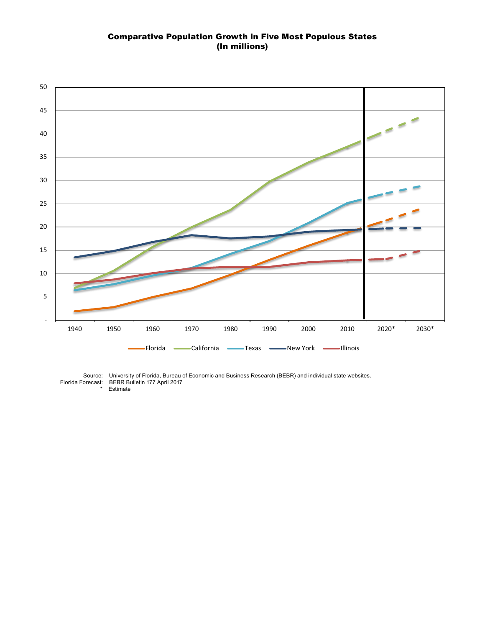#### Comparative Population Growth in Five Most Populous States (In millions)



Florida Forecast: BEBR Bulletin 177 April 2017

 Source: University of Florida, Bureau of Economic and Business Research (BEBR) and individual state websites. \* Estimate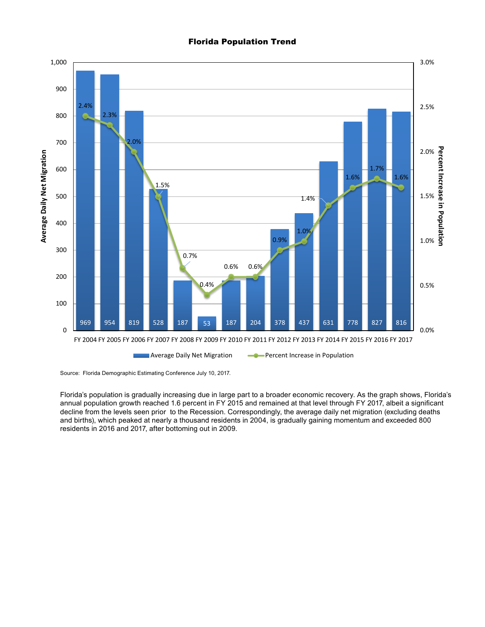Florida Population Trend



Source: Florida Demographic Estimating Conference July 10, 2017.

Florida's population is gradually increasing due in large part to a broader economic recovery. As the graph shows, Florida's annual population growth reached 1.6 percent in FY 2015 and remained at that level through FY 2017, albeit a significant decline from the levels seen prior to the Recession. Correspondingly, the average daily net migration (excluding deaths and births), which peaked at nearly a thousand residents in 2004, is gradually gaining momentum and exceeded 800 residents in 2016 and 2017, after bottoming out in 2009.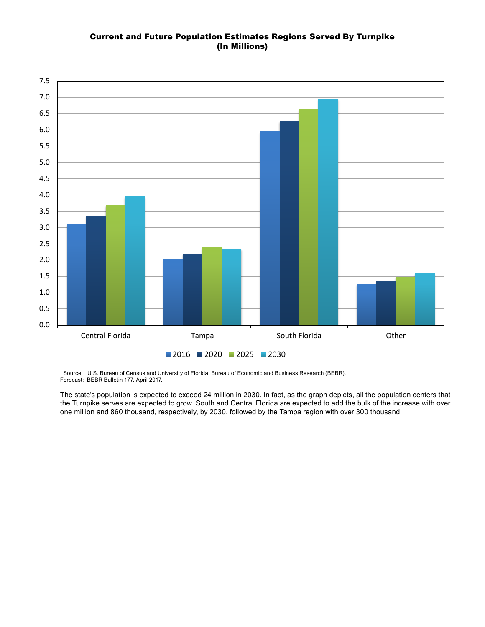# Current and Future Population Estimates Regions Served By Turnpike (In Millions)



 Source: U.S. Bureau of Census and University of Florida, Bureau of Economic and Business Research (BEBR). Forecast: BEBR Bulletin 177, April 2017.

The state's population is expected to exceed 24 million in 2030. In fact, as the graph depicts, all the population centers that the Turnpike serves are expected to grow. South and Central Florida are expected to add the bulk of the increase with over one million and 860 thousand, respectively, by 2030, followed by the Tampa region with over 300 thousand.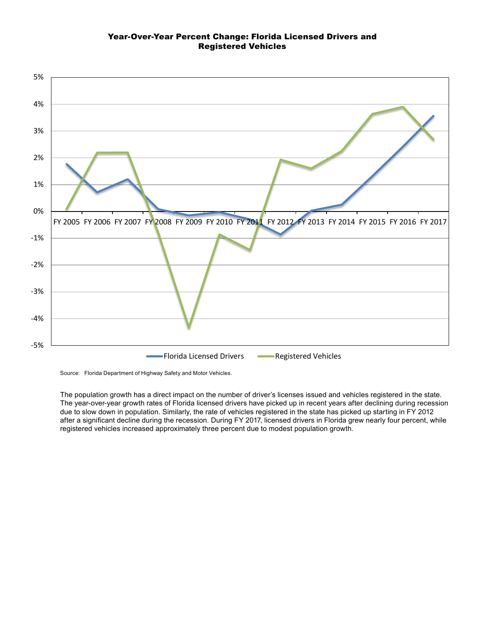### Year-Over-Year Percent Change: Florida Licensed Drivers and Registered Vehicles



Source: Florida Department of Highway Safety and Motor Vehicles.

The population growth has a direct impact on the number of driver's licenses issued and vehicles registered in the state. The year-over-year growth rates of Florida licensed drivers have picked up in recent years after declining during recession due to slow down in population. Similarly, the rate of vehicles registered in the state has picked up starting in FY 2012 after a significant decline during the recession. During FY 2017, licensed drivers in Florida grew nearly four percent, while registered vehicles increased approximately three percent due to modest population growth.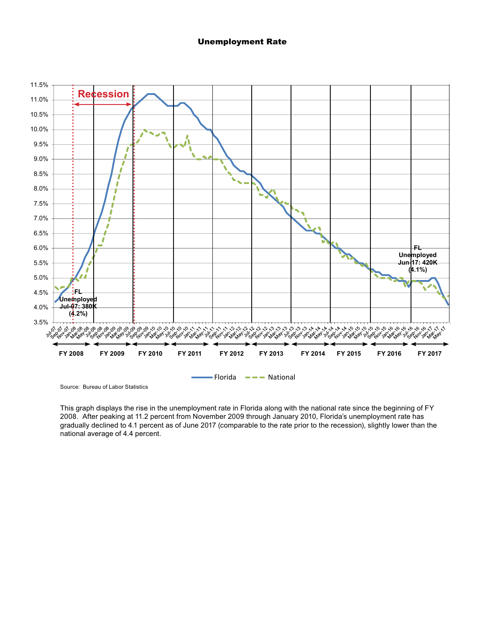#### Unemployment Rate



Source: Bureau of Labor Statistics

This graph displays the rise in the unemployment rate in Florida along with the national rate since the beginning of FY 2008. After peaking at 11.2 percent from November 2009 through January 2010, Florida's unemployment rate has gradually declined to 4.1 percent as of June 2017 (comparable to the rate prior to the recession), slightly lower than the national average of 4.4 percent.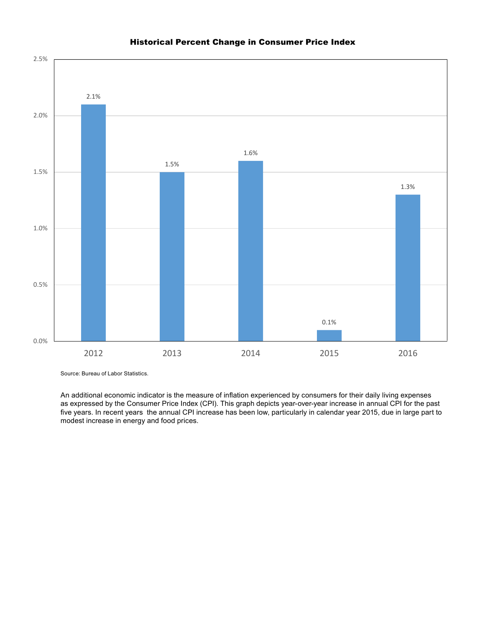

# Historical Percent Change in Consumer Price Index

Source: Bureau of Labor Statistics.

An additional economic indicator is the measure of inflation experienced by consumers for their daily living expenses as expressed by the Consumer Price Index (CPI). This graph depicts year-over-year increase in annual CPI for the past five years. In recent years the annual CPI increase has been low, particularly in calendar year 2015, due in large part to modest increase in energy and food prices.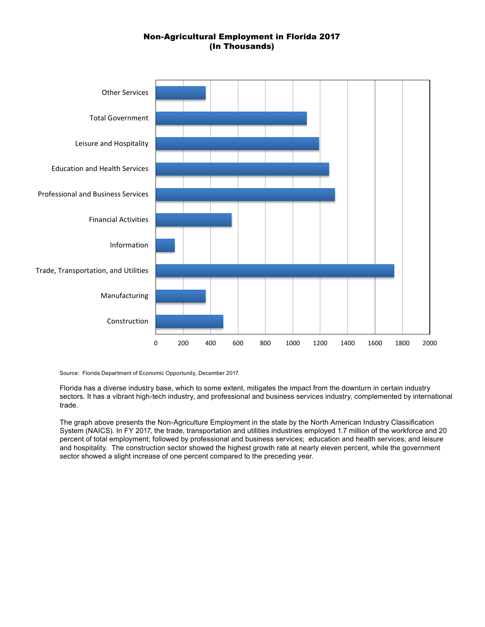# Non-Agricultural Employment in Florida 2017 (In Thousands)



Source: Florida Department of Economic Opportunity, December 2017.

Florida has a diverse industry base, which to some extent, mitigates the impact from the downturn in certain industry sectors. It has a vibrant high-tech industry, and professional and business services industry, complemented by international trade.

The graph above presents the Non-Agriculture Employment in the state by the North American Industry Classification System (NAICS). In FY 2017, the trade, transportation and utilities industries employed 1.7 million of the workforce and 20 percent of total employment; followed by professional and business services; education and health services; and leisure and hospitality. The construction sector showed the highest growth rate at nearly eleven percent, while the government sector showed a slight increase of one percent compared to the preceding year.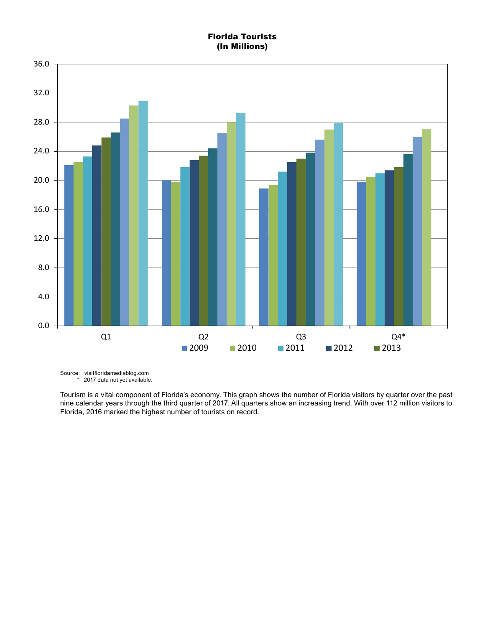# Florida Tourists (In Millions)



Source: visitfloridamediablog.com \* 2017 data not yet available.

Tourism is a vital component of Florida's economy. This graph shows the number of Florida visitors by quarter over the past nine calendar years through the third quarter of 2017. All quarters show an increasing trend. With over 112 million visitors to Florida, 2016 marked the highest number of tourists on record.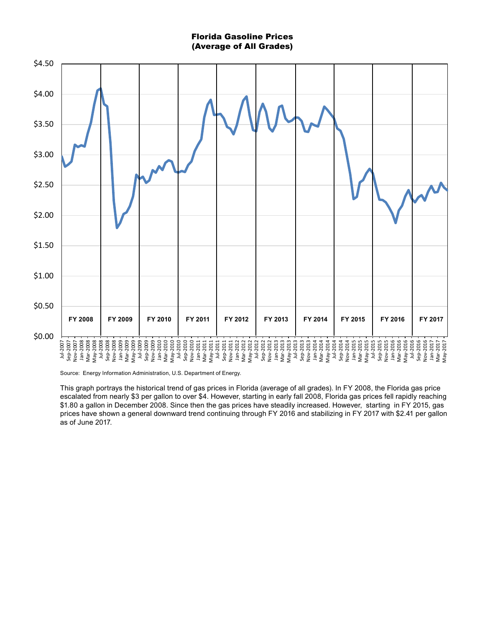#### Florida Gasoline Prices (Average of All Grades)



Source: Energy Information Administration, U.S. Department of Energy.

This graph portrays the historical trend of gas prices in Florida (average of all grades). In FY 2008, the Florida gas price escalated from nearly \$3 per gallon to over \$4. However, starting in early fall 2008, Florida gas prices fell rapidly reaching \$1.80 a gallon in December 2008. Since then the gas prices have steadily increased. However, starting in FY 2015, gas prices have shown a general downward trend continuing through FY 2016 and stabilizing in FY 2017 with \$2.41 per gallon as of June 2017.